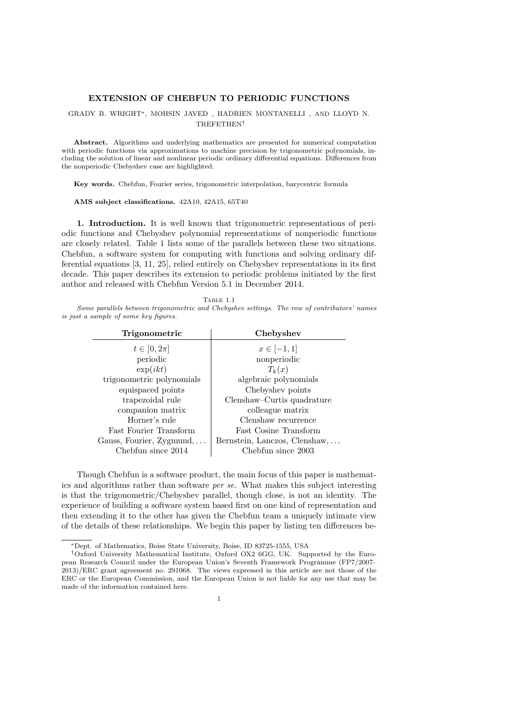## EXTENSION OF CHEBFUN TO PERIODIC FUNCTIONS

## GRADY B. WRIGHT∗, MOHSIN JAVED , HADRIEN MONTANELLI , AND LLOYD N. TREFETHEN†

Abstract. Algorithms and underlying mathematics are presented for numerical computation with periodic functions via approximations to machine precision by trigonometric polynomials, including the solution of linear and nonlinear periodic ordinary differential equations. Differences from the nonperiodic Chebyshev case are highlighted.

Key words. Chebfun, Fourier series, trigonometric interpolation, barycentric formula

AMS subject classifications. 42A10, 42A15, 65T40

1. Introduction. It is well known that trigonometric representations of periodic functions and Chebyshev polynomial representations of nonperiodic functions are closely related. Table 1 lists some of the parallels between these two situations. Chebfun, a software system for computing with functions and solving ordinary differential equations [3, 11, 25], relied entirely on Chebyshev representations in its first decade. This paper describes its extension to periodic problems initiated by the first author and released with Chebfun Version 5.1 in December 2014.

| TABLE 1.1                                                                                   |  |  |  |  |  |  |  |  |
|---------------------------------------------------------------------------------------------|--|--|--|--|--|--|--|--|
| Some parallels between trigonometric and Chebyshev settings. The row of contributors' names |  |  |  |  |  |  |  |  |
| <i>is just a sample of some key figures.</i>                                                |  |  |  |  |  |  |  |  |

| Trigonometric             | Chebyshev                     |  |  |
|---------------------------|-------------------------------|--|--|
| $t \in [0, 2\pi]$         | $x \in [-1,1]$                |  |  |
| periodic                  | nonperiodic                   |  |  |
| $\exp(ikt)$               | $T_k(x)$                      |  |  |
| trigonometric polynomials | algebraic polynomials         |  |  |
| equispaced points         | Chebyshev points              |  |  |
| trapezoidal rule          | Clenshaw–Curtis quadrature    |  |  |
| companion matrix          | colleague matrix              |  |  |
| Horner's rule             | Clenshaw recurrence           |  |  |
| Fast Fourier Transform    | Fast Cosine Transform         |  |  |
| Gauss, Fourier, Zygmund,  | Bernstein, Lanczos, Clenshaw, |  |  |
| Chebfun since 2014        | Chebfun since 2003            |  |  |

Though Chebfun is a software product, the main focus of this paper is mathematics and algorithms rather than software per se. What makes this subject interesting is that the trigonometric/Chebyshev parallel, though close, is not an identity. The experience of building a software system based first on one kind of representation and then extending it to the other has given the Chebfun team a uniquely intimate view of the details of these relationships. We begin this paper by listing ten differences be-

<sup>∗</sup>Dept. of Mathematics, Boise State University, Boise, ID 83725-1555, USA

<sup>†</sup>Oxford University Mathematical Institute, Oxford OX2 6GG, UK. Supported by the European Research Council under the European Union's Seventh Framework Programme (FP7/2007– 2013)/ERC grant agreement no. 291068. The views expressed in this article are not those of the ERC or the European Commission, and the European Union is not liable for any use that may be made of the information contained here.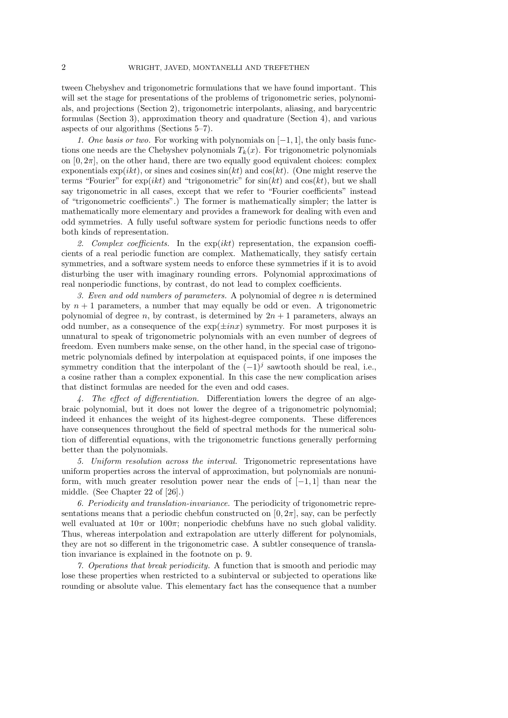tween Chebyshev and trigonometric formulations that we have found important. This will set the stage for presentations of the problems of trigonometric series, polynomials, and projections (Section 2), trigonometric interpolants, aliasing, and barycentric formulas (Section 3), approximation theory and quadrature (Section 4), and various aspects of our algorithms (Sections 5–7).

1. One basis or two. For working with polynomials on  $[-1, 1]$ , the only basis functions one needs are the Chebyshev polynomials  $T_k(x)$ . For trigonometric polynomials on  $[0, 2\pi]$ , on the other hand, there are two equally good equivalent choices: complex exponentials  $\exp(ikt)$ , or sines and cosines  $\sin(kt)$  and  $\cos(kt)$ . (One might reserve the terms "Fourier" for  $exp(ikt)$  and "trigonometric" for  $sin(kt)$  and  $cos(kt)$ , but we shall say trigonometric in all cases, except that we refer to "Fourier coefficients" instead of "trigonometric coefficients".) The former is mathematically simpler; the latter is mathematically more elementary and provides a framework for dealing with even and odd symmetries. A fully useful software system for periodic functions needs to offer both kinds of representation.

2. Complex coefficients. In the  $exp(ikt)$  representation, the expansion coefficients of a real periodic function are complex. Mathematically, they satisfy certain symmetries, and a software system needs to enforce these symmetries if it is to avoid disturbing the user with imaginary rounding errors. Polynomial approximations of real nonperiodic functions, by contrast, do not lead to complex coefficients.

3. Even and odd numbers of parameters. A polynomial of degree  $n$  is determined by  $n + 1$  parameters, a number that may equally be odd or even. A trigonometric polynomial of degree n, by contrast, is determined by  $2n + 1$  parameters, always an odd number, as a consequence of the  $\exp(\pm inx)$  symmetry. For most purposes it is unnatural to speak of trigonometric polynomials with an even number of degrees of freedom. Even numbers make sense, on the other hand, in the special case of trigonometric polynomials defined by interpolation at equispaced points, if one imposes the symmetry condition that the interpolant of the  $(-1)^j$  sawtooth should be real, i.e., a cosine rather than a complex exponential. In this case the new complication arises that distinct formulas are needed for the even and odd cases.

4. The effect of differentiation. Differentiation lowers the degree of an algebraic polynomial, but it does not lower the degree of a trigonometric polynomial; indeed it enhances the weight of its highest-degree components. These differences have consequences throughout the field of spectral methods for the numerical solution of differential equations, with the trigonometric functions generally performing better than the polynomials.

5. Uniform resolution across the interval. Trigonometric representations have uniform properties across the interval of approximation, but polynomials are nonuniform, with much greater resolution power near the ends of  $[-1, 1]$  than near the middle. (See Chapter 22 of [26].)

6. Periodicity and translation-invariance. The periodicity of trigonometric representations means that a periodic chebfun constructed on  $[0, 2\pi]$ , say, can be perfectly well evaluated at  $10\pi$  or  $100\pi$ ; nonperiodic chebfuns have no such global validity. Thus, whereas interpolation and extrapolation are utterly different for polynomials, they are not so different in the trigonometric case. A subtler consequence of translation invariance is explained in the footnote on p. 9.

7. Operations that break periodicity. A function that is smooth and periodic may lose these properties when restricted to a subinterval or subjected to operations like rounding or absolute value. This elementary fact has the consequence that a number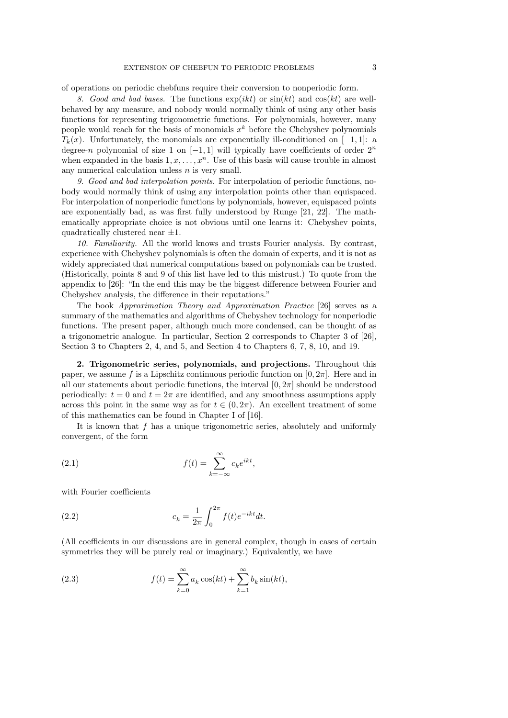of operations on periodic chebfuns require their conversion to nonperiodic form.

8. Good and bad bases. The functions  $\exp(ikt)$  or  $\sin(kt)$  and  $\cos(kt)$  are wellbehaved by any measure, and nobody would normally think of using any other basis functions for representing trigonometric functions. For polynomials, however, many people would reach for the basis of monomials  $x^k$  before the Chebyshev polynomials  $T_k(x)$ . Unfortunately, the monomials are exponentially ill-conditioned on [−1, 1]: a degree-n polynomial of size 1 on  $[-1,1]$  will typically have coefficients of order  $2^n$ when expanded in the basis  $1, x, \ldots, x<sup>n</sup>$ . Use of this basis will cause trouble in almost any numerical calculation unless  $n$  is very small.

9. Good and bad interpolation points. For interpolation of periodic functions, nobody would normally think of using any interpolation points other than equispaced. For interpolation of nonperiodic functions by polynomials, however, equispaced points are exponentially bad, as was first fully understood by Runge [21, 22]. The mathematically appropriate choice is not obvious until one learns it: Chebyshev points, quadratically clustered near  $\pm 1$ .

10. Familiarity. All the world knows and trusts Fourier analysis. By contrast, experience with Chebyshev polynomials is often the domain of experts, and it is not as widely appreciated that numerical computations based on polynomials can be trusted. (Historically, points 8 and 9 of this list have led to this mistrust.) To quote from the appendix to [26]: "In the end this may be the biggest difference between Fourier and Chebyshev analysis, the difference in their reputations."

The book Approximation Theory and Approximation Practice [26] serves as a summary of the mathematics and algorithms of Chebyshev technology for nonperiodic functions. The present paper, although much more condensed, can be thought of as a trigonometric analogue. In particular, Section 2 corresponds to Chapter 3 of [26], Section 3 to Chapters 2, 4, and 5, and Section 4 to Chapters 6, 7, 8, 10, and 19.

2. Trigonometric series, polynomials, and projections. Throughout this paper, we assume f is a Lipschitz continuous periodic function on  $[0, 2\pi]$ . Here and in all our statements about periodic functions, the interval  $[0, 2\pi]$  should be understood periodically:  $t = 0$  and  $t = 2\pi$  are identified, and any smoothness assumptions apply across this point in the same way as for  $t \in (0, 2\pi)$ . An excellent treatment of some of this mathematics can be found in Chapter I of [16].

It is known that  $f$  has a unique trigonometric series, absolutely and uniformly convergent, of the form

(2.1) 
$$
f(t) = \sum_{k=-\infty}^{\infty} c_k e^{ikt},
$$

with Fourier coefficients

(2.2) 
$$
c_k = \frac{1}{2\pi} \int_0^{2\pi} f(t)e^{-ikt}dt.
$$

(All coefficients in our discussions are in general complex, though in cases of certain symmetries they will be purely real or imaginary.) Equivalently, we have

(2.3) 
$$
f(t) = \sum_{k=0}^{\infty} a_k \cos(kt) + \sum_{k=1}^{\infty} b_k \sin(kt),
$$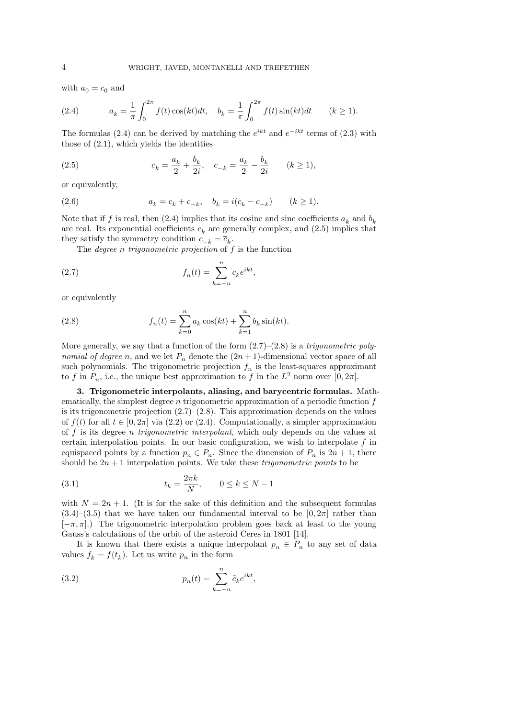with  $a_0 = c_0$  and

(2.4) 
$$
a_k = \frac{1}{\pi} \int_0^{2\pi} f(t) \cos(kt) dt, \quad b_k = \frac{1}{\pi} \int_0^{2\pi} f(t) \sin(kt) dt \quad (k \ge 1).
$$

The formulas (2.4) can be derived by matching the  $e^{ikt}$  and  $e^{-ikt}$  terms of (2.3) with those of (2.1), which yields the identities

(2.5) 
$$
c_k = \frac{a_k}{2} + \frac{b_k}{2i}, \quad c_{-k} = \frac{a_k}{2} - \frac{b_k}{2i} \quad (k \ge 1),
$$

or equivalently,

(2.6) 
$$
a_k = c_k + c_{-k}, \quad b_k = i(c_k - c_{-k}) \qquad (k \ge 1).
$$

Note that if f is real, then  $(2.4)$  implies that its cosine and sine coefficients  $a_k$  and  $b_k$ are real. Its exponential coefficients  $c_k$  are generally complex, and  $(2.5)$  implies that they satisfy the symmetry condition  $c_{-k} = \overline{c}_k$ .

The *degree n trigonometric projection* of  $f$  is the function

(2.7) 
$$
f_n(t) = \sum_{k=-n}^{n} c_k e^{ikt},
$$

or equivalently

(2.8) 
$$
f_n(t) = \sum_{k=0}^n a_k \cos(kt) + \sum_{k=1}^n b_k \sin(kt).
$$

More generally, we say that a function of the form  $(2.7)$ – $(2.8)$  is a *trigonometric poly*nomial of degree n, and we let  $P_n$  denote the  $(2n+1)$ -dimensional vector space of all such polynomials. The trigonometric projection  $f_n$  is the least-squares approximant to f in  $P_n$ , i.e., the unique best approximation to f in the  $L^2$  norm over  $[0, 2\pi]$ .

3. Trigonometric interpolants, aliasing, and barycentric formulas. Mathematically, the simplest degree n trigonometric approximation of a periodic function f is its trigonometric projection  $(2.7)$ – $(2.8)$ . This approximation depends on the values of  $f(t)$  for all  $t \in [0, 2\pi]$  via (2.2) or (2.4). Computationally, a simpler approximation of  $f$  is its degree *n* trigonometric interpolant, which only depends on the values at certain interpolation points. In our basic configuration, we wish to interpolate  $f$  in equispaced points by a function  $p_n \in P_n$ . Since the dimension of  $P_n$  is  $2n + 1$ , there should be  $2n + 1$  interpolation points. We take these *trigonometric points* to be

(3.1) 
$$
t_k = \frac{2\pi k}{N}, \qquad 0 \le k \le N-1
$$

with  $N = 2n + 1$ . (It is for the sake of this definition and the subsequent formulas  $(3.4)$ – $(3.5)$  that we have taken our fundamental interval to be  $[0, 2\pi]$  rather than  $[-\pi, \pi]$ .) The trigonometric interpolation problem goes back at least to the young Gauss's calculations of the orbit of the asteroid Ceres in 1801 [14].

It is known that there exists a unique interpolant  $p_n \in P_n$  to any set of data values  $f_k = f(t_k)$ . Let us write  $p_n$  in the form

(3.2) 
$$
p_n(t) = \sum_{k=-n}^n \tilde{c}_k e^{ikt},
$$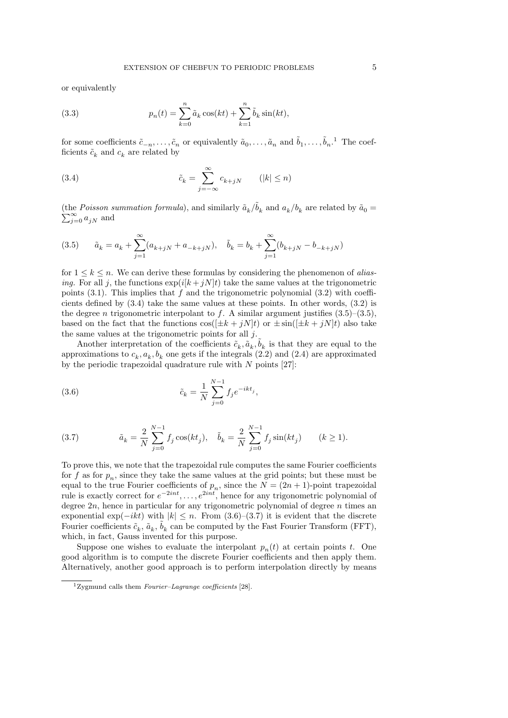or equivalently

(3.3) 
$$
p_n(t) = \sum_{k=0}^n \tilde{a}_k \cos(kt) + \sum_{k=1}^n \tilde{b}_k \sin(kt),
$$

for some coefficients  $\tilde{c}_{-n},\ldots,\tilde{c}_n$  or equivalently  $\tilde{a}_0,\ldots,\tilde{a}_n$  and  $\tilde{b}_1,\ldots,\tilde{b}_n$ .<sup>1</sup> The coefficients  $\tilde{c}_k$  and  $c_k$  are related by

(3.4) 
$$
\tilde{c}_k = \sum_{j=-\infty}^{\infty} c_{k+jN} \qquad (|k| \le n)
$$

(the Poisson summation formula), and similarly  $\tilde{a}_k/\tilde{b}_k$  and  $a_k/b_k$  are related by  $\tilde{a}_0 =$  $\sum_{j=0}^{\infty} a_{jN}$  and

(3.5) 
$$
\tilde{a}_k = a_k + \sum_{j=1}^{\infty} (a_{k+jN} + a_{-k+jN}), \quad \tilde{b}_k = b_k + \sum_{j=1}^{\infty} (b_{k+jN} - b_{-k+jN})
$$

for  $1 \leq k \leq n$ . We can derive these formulas by considering the phenomenon of aliasing. For all j, the functions  $\exp(i[k+jN]t)$  take the same values at the trigonometric points (3.1). This implies that  $f$  and the trigonometric polynomial (3.2) with coefficients defined by (3.4) take the same values at these points. In other words, (3.2) is the degree *n* trigonometric interpolant to f. A similar argument justifies  $(3.5)$ – $(3.5)$ , based on the fact that the functions  $\cos((\pm k + iN)t)$  or  $\pm \sin((\pm k + iN)t)$  also take the same values at the trigonometric points for all j.

Another interpretation of the coefficients  $\tilde{c}_k, \tilde{a}_k, \tilde{b}_k$  is that they are equal to the approximations to  $c_k$ ,  $a_k$ ,  $b_k$  one gets if the integrals (2.2) and (2.4) are approximated by the periodic trapezoidal quadrature rule with  $N$  points [27]:

(3.6) 
$$
\tilde{c}_k = \frac{1}{N} \sum_{j=0}^{N-1} f_j e^{-ikt_j},
$$

(3.7) 
$$
\tilde{a}_k = \frac{2}{N} \sum_{j=0}^{N-1} f_j \cos(kt_j), \quad \tilde{b}_k = \frac{2}{N} \sum_{j=0}^{N-1} f_j \sin(kt_j) \qquad (k \ge 1).
$$

To prove this, we note that the trapezoidal rule computes the same Fourier coefficients for f as for  $p_n$ , since they take the same values at the grid points; but these must be equal to the true Fourier coefficients of  $p_n$ , since the  $N = (2n + 1)$ -point trapezoidal rule is exactly correct for  $e^{-2int}, \ldots, e^{2int}$ , hence for any trigonometric polynomial of degree  $2n$ , hence in particular for any trigonometric polynomial of degree  $n$  times an exponential exp( $-ikt$ ) with  $|k| \leq n$ . From (3.6)–(3.7) it is evident that the discrete Fourier coefficients  $\tilde{c}_k$ ,  $\tilde{a}_k$ ,  $\tilde{b}_k$  can be computed by the Fast Fourier Transform (FFT), which, in fact, Gauss invented for this purpose.

Suppose one wishes to evaluate the interpolant  $p_n(t)$  at certain points t. One good algorithm is to compute the discrete Fourier coefficients and then apply them. Alternatively, another good approach is to perform interpolation directly by means

<sup>&</sup>lt;sup>1</sup>Zygmund calls them *Fourier–Lagrange coefficients* [28].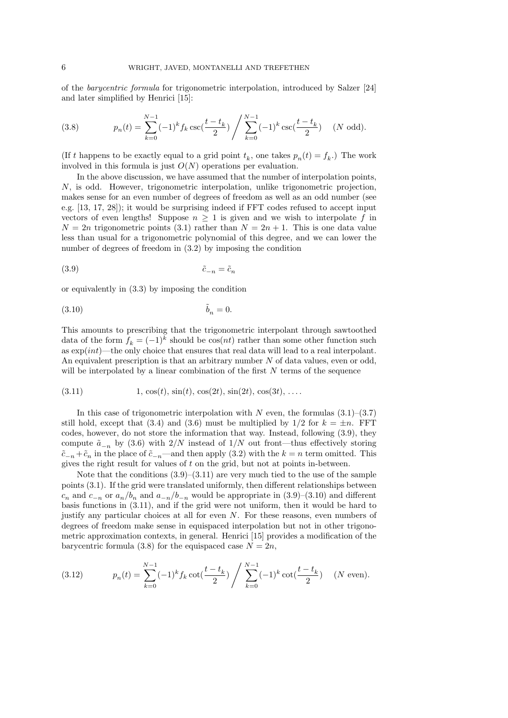of the barycentric formula for trigonometric interpolation, introduced by Salzer [24] and later simplified by Henrici [15]:

(3.8) 
$$
p_n(t) = \sum_{k=0}^{N-1} (-1)^k f_k \csc(\frac{t-t_k}{2}) / \sum_{k=0}^{N-1} (-1)^k \csc(\frac{t-t_k}{2}) \quad (N \text{ odd}).
$$

(If t happens to be exactly equal to a grid point  $t_k$ , one takes  $p_n(t) = f_k$ .) The work involved in this formula is just  $O(N)$  operations per evaluation.

In the above discussion, we have assumed that the number of interpolation points, N, is odd. However, trigonometric interpolation, unlike trigonometric projection, makes sense for an even number of degrees of freedom as well as an odd number (see e.g. [13, 17, 28]); it would be surprising indeed if FFT codes refused to accept input vectors of even lengths! Suppose  $n \geq 1$  is given and we wish to interpolate f in  $N = 2n$  trigonometric points (3.1) rather than  $N = 2n + 1$ . This is one data value less than usual for a trigonometric polynomial of this degree, and we can lower the number of degrees of freedom in (3.2) by imposing the condition

$$
(3.9) \t\t\t\t\t\tilde{c}_{-n} = \tilde{c}_n
$$

or equivalently in (3.3) by imposing the condition

˜ (3.10) b<sup>n</sup> = 0.

This amounts to prescribing that the trigonometric interpolant through sawtoothed data of the form  $f_k = (-1)^k$  should be  $\cos(nt)$  rather than some other function such as  $\exp(int)$ —the only choice that ensures that real data will lead to a real interpolant. An equivalent prescription is that an arbitrary number  $N$  of data values, even or odd, will be interpolated by a linear combination of the first  $N$  terms of the sequence

(3.11) 
$$
1, \cos(t), \sin(t), \cos(2t), \sin(2t), \cos(3t), \dots
$$

In this case of trigonometric interpolation with N even, the formulas  $(3.1)$ – $(3.7)$ still hold, except that (3.4) and (3.6) must be multiplied by  $1/2$  for  $k = \pm n$ . FFT codes, however, do not store the information that way. Instead, following (3.9), they compute  $\tilde{a}_{-n}$  by (3.6) with 2/N instead of 1/N out front—thus effectively storing  $\tilde{c}_{-n} + \tilde{c}_n$  in the place of  $\tilde{c}_{-n}$ —and then apply (3.2) with the  $k = n$  term omitted. This gives the right result for values of t on the grid, but not at points in-between.

Note that the conditions  $(3.9)$ – $(3.11)$  are very much tied to the use of the sample points (3.1). If the grid were translated uniformly, then different relationships between  $c_n$  and  $c_{-n}$  or  $a_n/b_n$  and  $a_{-n}/b_{-n}$  would be appropriate in  $(3.9)-(3.10)$  and different basis functions in (3.11), and if the grid were not uniform, then it would be hard to justify any particular choices at all for even N. For these reasons, even numbers of degrees of freedom make sense in equispaced interpolation but not in other trigonometric approximation contexts, in general. Henrici [15] provides a modification of the barycentric formula (3.8) for the equispaced case  $N = 2n$ ,

(3.12) 
$$
p_n(t) = \sum_{k=0}^{N-1} (-1)^k f_k \cot(\frac{t-t_k}{2}) / \sum_{k=0}^{N-1} (-1)^k \cot(\frac{t-t_k}{2}) \quad (N \text{ even}).
$$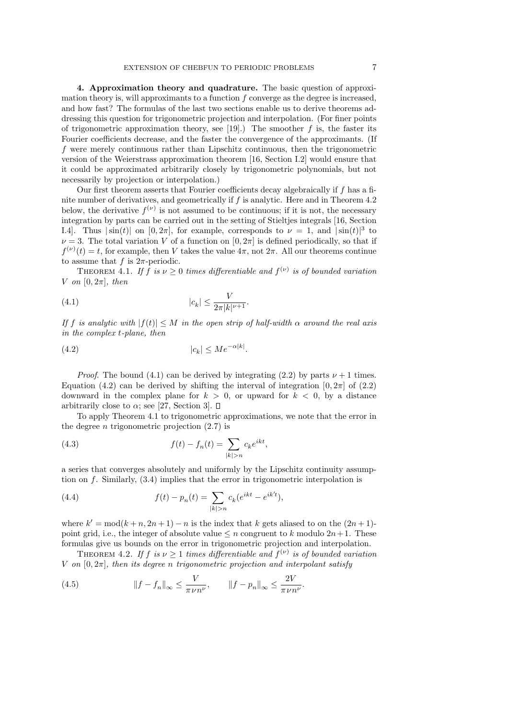4. Approximation theory and quadrature. The basic question of approximation theory is, will approximants to a function  $f$  converge as the degree is increased, and how fast? The formulas of the last two sections enable us to derive theorems addressing this question for trigonometric projection and interpolation. (For finer points of trigonometric approximation theory, see [19].) The smoother f is, the faster its Fourier coefficients decrease, and the faster the convergence of the approximants. (If f were merely continuous rather than Lipschitz continuous, then the trigonometric version of the Weierstrass approximation theorem [16, Section I.2] would ensure that it could be approximated arbitrarily closely by trigonometric polynomials, but not necessarily by projection or interpolation.)

Our first theorem asserts that Fourier coefficients decay algebraically if f has a finite number of derivatives, and geometrically if f is analytic. Here and in Theorem 4.2 below, the derivative  $f^{(\nu)}$  is not assumed to be continuous; if it is not, the necessary integration by parts can be carried out in the setting of Stieltjes integrals [16, Section I.4]. Thus  $|\sin(t)|$  on  $[0, 2\pi]$ , for example, corresponds to  $\nu = 1$ , and  $|\sin(t)|^3$  to  $\nu = 3$ . The total variation V of a function on  $[0, 2\pi]$  is defined periodically, so that if  $f^{(\nu)}(t) = t$ , for example, then V takes the value  $4\pi$ , not  $2\pi$ . All our theorems continue to assume that f is  $2\pi$ -periodic.

THEOREM 4.1. If  $f$  is  $\nu \geq 0$  times differentiable and  $f^{(\nu)}$  is of bounded variation V on  $[0, 2\pi]$ , then

(4.1) 
$$
|c_k| \le \frac{V}{2\pi |k|^{\nu+1}}.
$$

If f is analytic with  $|f(t)| \leq M$  in the open strip of half-width  $\alpha$  around the real axis in the complex t-plane, then

$$
(4.2) \t\t\t |c_k| \le Me^{-\alpha|k|}.
$$

*Proof.* The bound (4.1) can be derived by integrating (2.2) by parts  $\nu + 1$  times. Equation (4.2) can be derived by shifting the interval of integration  $[0, 2\pi]$  of (2.2) downward in the complex plane for  $k > 0$ , or upward for  $k < 0$ , by a distance arbitrarily close to  $\alpha$ ; see [27, Section 3].  $\square$ 

To apply Theorem 4.1 to trigonometric approximations, we note that the error in the degree *n* trigonometric projection  $(2.7)$  is

(4.3) 
$$
f(t) - f_n(t) = \sum_{|k| > n} c_k e^{ikt},
$$

a series that converges absolutely and uniformly by the Lipschitz continuity assumption on  $f$ . Similarly,  $(3.4)$  implies that the error in trigonometric interpolation is

(4.4) 
$$
f(t) - p_n(t) = \sum_{|k|>n} c_k (e^{ikt} - e^{ik't}),
$$

where  $k' = \text{mod}(k + n, 2n + 1) - n$  is the index that k gets aliased to on the  $(2n + 1)$ point grid, i.e., the integer of absolute value  $\leq n$  congruent to k modulo  $2n+1$ . These formulas give us bounds on the error in trigonometric projection and interpolation.

THEOREM 4.2. If  $f$  is  $\nu \geq 1$  times differentiable and  $f^{(\nu)}$  is of bounded variation V on  $[0, 2\pi]$ , then its degree n trigonometric projection and interpolant satisfy

(4.5) 
$$
||f - f_n||_{\infty} \le \frac{V}{\pi \nu n^{\nu}}, \qquad ||f - p_n||_{\infty} \le \frac{2V}{\pi \nu n^{\nu}}.
$$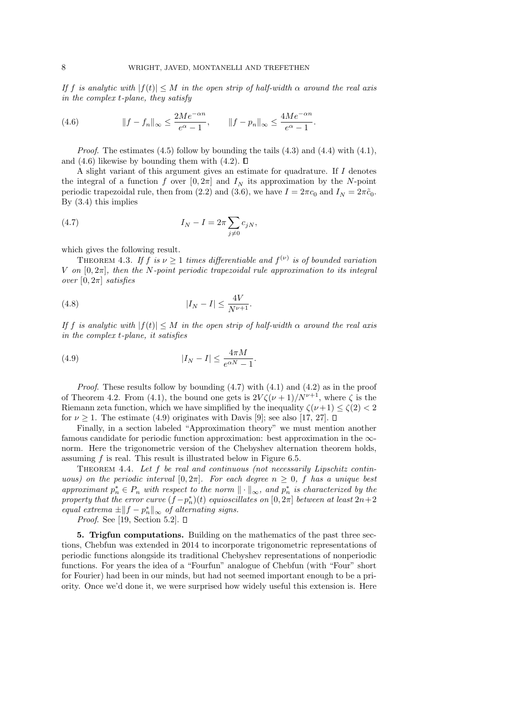If f is analytic with  $|f(t)| \leq M$  in the open strip of half-width  $\alpha$  around the real axis in the complex t-plane, they satisfy

(4.6) 
$$
||f - f_n||_{\infty} \le \frac{2Me^{-\alpha n}}{e^{\alpha} - 1}, \qquad ||f - p_n||_{\infty} \le \frac{4Me^{-\alpha n}}{e^{\alpha} - 1}.
$$

*Proof.* The estimates  $(4.5)$  follow by bounding the tails  $(4.3)$  and  $(4.4)$  with  $(4.1)$ . and (4.6) likewise by bounding them with (4.2).  $\Box$ 

A slight variant of this argument gives an estimate for quadrature. If I denotes the integral of a function f over  $[0, 2\pi]$  and  $I<sub>N</sub>$  its approximation by the N-point periodic trapezoidal rule, then from (2.2) and (3.6), we have  $I = 2\pi c_0$  and  $I_N = 2\pi \tilde{c}_0$ . By (3.4) this implies

(4.7) 
$$
I_N - I = 2\pi \sum_{j \neq 0} c_{jN},
$$

which gives the following result.

THEOREM 4.3. If f is  $\nu \geq 1$  times differentiable and  $f^{(\nu)}$  is of bounded variation V on  $[0, 2\pi]$ , then the N-point periodic trapezoidal rule approximation to its integral over  $[0, 2\pi]$  satisfies

(4.8) 
$$
|I_N - I| \le \frac{4V}{N^{\nu+1}}.
$$

If f is analytic with  $|f(t)| \leq M$  in the open strip of half-width  $\alpha$  around the real axis in the complex t-plane, it satisfies

(4.9) 
$$
|I_N - I| \leq \frac{4\pi M}{e^{\alpha N} - 1}.
$$

*Proof.* These results follow by bounding  $(4.7)$  with  $(4.1)$  and  $(4.2)$  as in the proof of Theorem 4.2. From (4.1), the bound one gets is  $2V\zeta(\nu+1)/N^{\nu+1}$ , where  $\zeta$  is the Riemann zeta function, which we have simplified by the inequality  $\zeta(\nu+1) \leq \zeta(2) < 2$ for  $\nu \geq 1$ . The estimate (4.9) originates with Davis [9]; see also [17, 27].  $\Box$ 

Finally, in a section labeled "Approximation theory" we must mention another famous candidate for periodic function approximation: best approximation in the ∞ norm. Here the trigonometric version of the Chebyshev alternation theorem holds, assuming  $f$  is real. This result is illustrated below in Figure 6.5.

THEOREM 4.4. Let  $f$  be real and continuous (not necessarily Lipschitz continuous) on the periodic interval  $[0, 2\pi]$ . For each degree  $n \geq 0$ , f has a unique best approximant  $p_n^* \in P_n$  with respect to the norm  $\|\cdot\|_{\infty}$ , and  $p_n^*$  is characterized by the property that the error curve  $(f - p_n^*)(t)$  equioscillates on  $[0, 2\pi]$  between at least  $2n+2$ equal extrema  $\pm \|f - p_n^*\|_{\infty}$  of alternating signs.

*Proof.* See [19, Section 5.2].  $\Box$ 

5. Trigfun computations. Building on the mathematics of the past three sections, Chebfun was extended in 2014 to incorporate trigonometric representations of periodic functions alongside its traditional Chebyshev representations of nonperiodic functions. For years the idea of a "Fourfun" analogue of Chebfun (with "Four" short for Fourier) had been in our minds, but had not seemed important enough to be a priority. Once we'd done it, we were surprised how widely useful this extension is. Here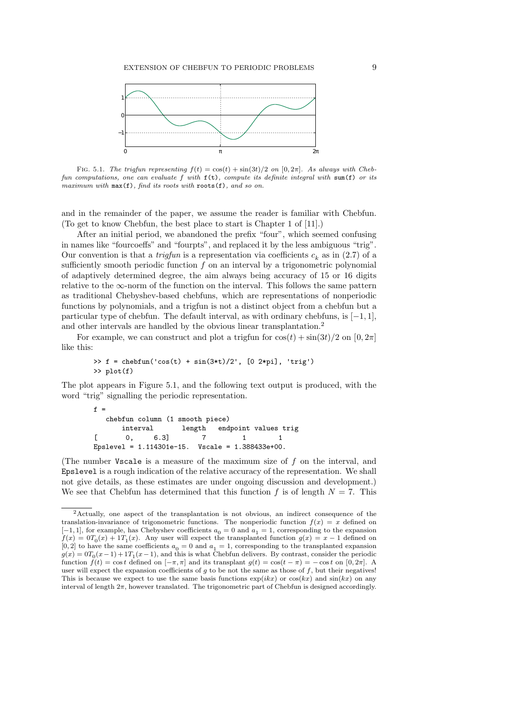

FIG. 5.1. The trigfun representing  $f(t) = \cos(t) + \sin(3t)/2$  on  $[0, 2\pi]$ . As always with Chebfun computations, one can evaluate f with  $f(t)$ , compute its definite integral with sum(f) or its maximum with  $max(f)$ , find its roots with  $roots(f)$ , and so on.

and in the remainder of the paper, we assume the reader is familiar with Chebfun. (To get to know Chebfun, the best place to start is Chapter 1 of [11].)

After an initial period, we abandoned the prefix "four", which seemed confusing in names like "fourcoeffs" and "fourpts", and replaced it by the less ambiguous "trig". Our convention is that a *trigfun* is a representation via coefficients  $c_k$  as in (2.7) of a sufficiently smooth periodic function  $f$  on an interval by a trigonometric polynomial of adaptively determined degree, the aim always being accuracy of 15 or 16 digits relative to the  $\infty$ -norm of the function on the interval. This follows the same pattern as traditional Chebyshev-based chebfuns, which are representations of nonperiodic functions by polynomials, and a trigfun is not a distinct object from a chebfun but a particular type of chebfun. The default interval, as with ordinary chebfuns, is  $[-1, 1]$ , and other intervals are handled by the obvious linear transplantation.<sup>2</sup>

For example, we can construct and plot a trigfun for  $\cos(t) + \sin(3t)/2$  on  $[0, 2\pi]$ like this:

> >> f = chebfun('cos(t) + sin(3\*t)/2',  $[0 2*pi]$ , 'trig') >> plot(f)

The plot appears in Figure 5.1, and the following text output is produced, with the word "trig" signalling the periodic representation.

|              | $f =$ |                                 |              |                                                       |                                      |
|--------------|-------|---------------------------------|--------------|-------------------------------------------------------|--------------------------------------|
|              |       | chebfun column (1 smooth piece) |              |                                                       |                                      |
|              |       |                                 |              |                                                       | interval 1ength endpoint values trig |
| $\mathbf{1}$ | 0.    | 6.31                            | <sup>7</sup> |                                                       |                                      |
|              |       |                                 |              | Epslevel = $1.114301e-15$ . Vscale = $1.388433e+00$ . |                                      |

(The number Vscale is a measure of the maximum size of  $f$  on the interval, and Epslevel is a rough indication of the relative accuracy of the representation. We shall not give details, as these estimates are under ongoing discussion and development.) We see that Chebfun has determined that this function f is of length  $N = 7$ . This

<sup>2</sup>Actually, one aspect of the transplantation is not obvious, an indirect consequence of the translation-invariance of trigonometric functions. The nonperiodic function  $f(x) = x$  defined on  $[-1, 1]$ , for example, has Chebyshev coefficients  $a_0 = 0$  and  $a_1 = 1$ , corresponding to the expansion  $f(x) = 0$  $T_0(x) + 1$  $T_1(x)$ . Any user will expect the transplanted function  $g(x) = x - 1$  defined on [0, 2] to have the same coefficients  $a_0 = 0$  and  $a_1 = 1$ , corresponding to the transplanted expansion  $g(x) = 0T_0(x-1) + 1T_1(x-1)$ , and this is what Chebfun delivers. By contrast, consider the periodic function  $f(t) = \cos t$  defined on  $[-\pi, \pi]$  and its transplant  $g(t) = \cos(t - \pi) = -\cos t$  on  $[0, 2\pi]$ . A user will expect the expansion coefficients of  $g$  to be not the same as those of  $f$ , but their negatives! This is because we expect to use the same basis functions  $\exp(ikx)$  or  $\cos(kx)$  and  $\sin(kx)$  on any interval of length 2π, however translated. The trigonometric part of Chebfun is designed accordingly.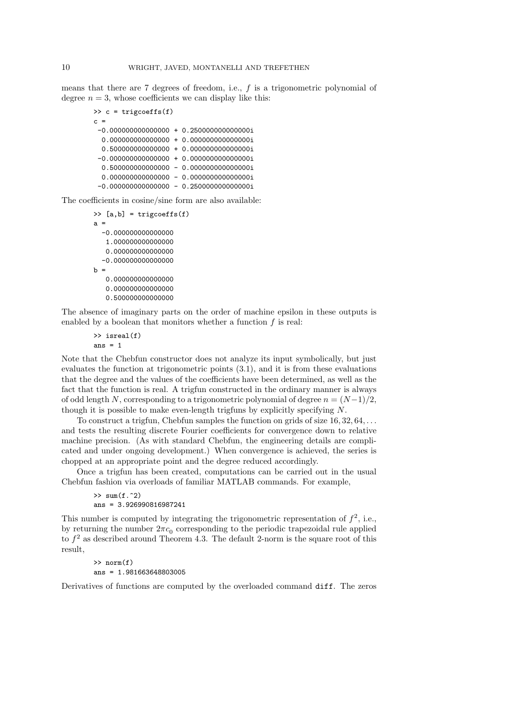means that there are 7 degrees of freedom, i.e., f is a trigonometric polynomial of degree  $n = 3$ , whose coefficients we can display like this:

```
\gg c = trigcoeffs(f)
c =-0.000000000000000 + 0.250000000000000i
 0.000000000000000 + 0.000000000000000i
  0.500000000000000 + 0.000000000000000i
-0.000000000000000 + 0.000000000000000i
  0.500000000000000 - 0.000000000000000i
  0.000000000000000 - 0.000000000000000i
 -0.000000000000000 - 0.250000000000000i
```
The coefficients in cosine/sine form are also available:

```
>> [a,b] = trigcoeffs(f)
a =-0.000000000000000
   1.000000000000000
   0.000000000000000
  -0.000000000000000
h =0.000000000000000
```
0.000000000000000

0.500000000000000

The absence of imaginary parts on the order of machine epsilon in these outputs is enabled by a boolean that monitors whether a function  $f$  is real:

>> isreal(f) ans  $= 1$ 

Note that the Chebfun constructor does not analyze its input symbolically, but just evaluates the function at trigonometric points (3.1), and it is from these evaluations that the degree and the values of the coefficients have been determined, as well as the fact that the function is real. A trigfun constructed in the ordinary manner is always of odd length N, corresponding to a trigonometric polynomial of degree  $n = (N-1)/2$ , though it is possible to make even-length trigfuns by explicitly specifying N.

To construct a trigfun, Chebfun samples the function on grids of size  $16, 32, 64, \ldots$ and tests the resulting discrete Fourier coefficients for convergence down to relative machine precision. (As with standard Chebfun, the engineering details are complicated and under ongoing development.) When convergence is achieved, the series is chopped at an appropriate point and the degree reduced accordingly.

Once a trigfun has been created, computations can be carried out in the usual Chebfun fashion via overloads of familiar MATLAB commands. For example,

```
\gg sum(f.^2)
ans = 3.926990816987241
```
This number is computed by integrating the trigonometric representation of  $f^2$ , i.e., by returning the number  $2\pi c_0$  corresponding to the periodic trapezoidal rule applied to  $f^2$  as described around Theorem 4.3. The default 2-norm is the square root of this result,

> >> norm(f) ans = 1.981663648803005

Derivatives of functions are computed by the overloaded command diff. The zeros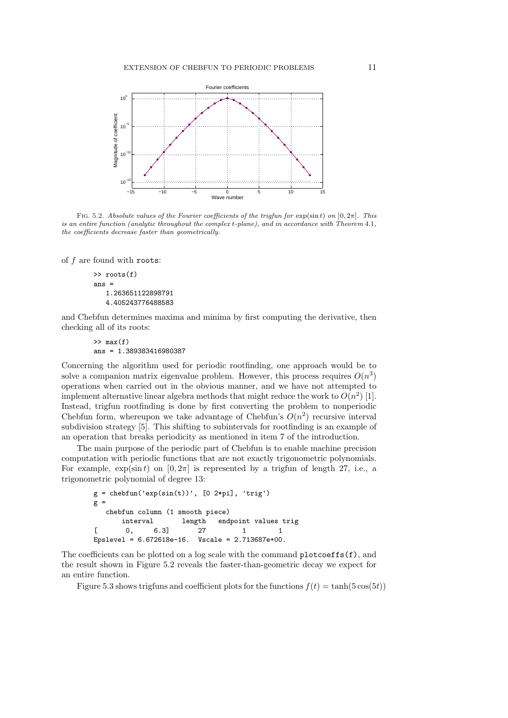

FIG. 5.2. Absolute values of the Fourier coefficients of the trigfun for  $\exp(\sin t)$  on  $[0, 2\pi]$ . This is an entire function (analytic throughout the complex t-plane), and in accordance with Theorem 4.1, the coefficients decrease faster than geometrically.

of  $f$  are found with roots:

```
>> roots(f)
ans =
   1.263651122898791
   4.405243776488583
```
and Chebfun determines maxima and minima by first computing the derivative, then checking all of its roots:

```
\gg max(f)ans = 1.389383416980387
```
Concerning the algorithm used for periodic rootfinding, one approach would be to solve a companion matrix eigenvalue problem. However, this process requires  $O(n^3)$ operations when carried out in the obvious manner, and we have not attempted to implement alternative linear algebra methods that might reduce the work to  $O(n^2)$  [1]. Instead, trigfun rootfinding is done by first converting the problem to nonperiodic Chebfun form, whereupon we take advantage of Chebfun's  $O(n^2)$  recursive interval subdivision strategy [5]. This shifting to subintervals for rootfinding is an example of an operation that breaks periodicity as mentioned in item 7 of the introduction.

The main purpose of the periodic part of Chebfun is to enable machine precision computation with periodic functions that are not exactly trigonometric polynomials. For example,  $\exp(\sin t)$  on  $[0, 2\pi]$  is represented by a trigfun of length 27, i.e., a trigonometric polynomial of degree 13:

```
g = \text{chebfun}('exp(\sin(t))', [0 2*pi], 'trig')gchebfun column (1 smooth piece)
      interval length endpoint values trig
[ 0, 6.3] 27 1 1
Epslevel = 6.672618e-16. Vscale = 2.713687e+00.
```
The coefficients can be plotted on a log scale with the command  $\text{plots}(f)$ , and the result shown in Figure 5.2 reveals the faster-than-geometric decay we expect for an entire function.

Figure 5.3 shows trigfuns and coefficient plots for the functions  $f(t) = \tanh(5\cos(5t))$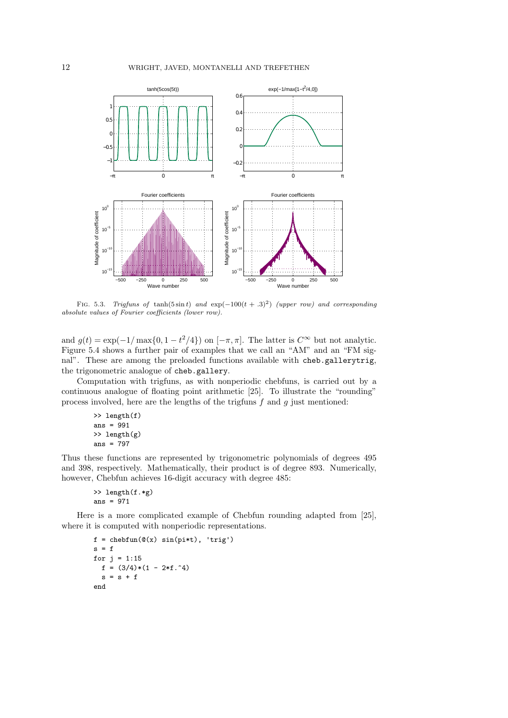

FIG. 5.3. Trigfuns of tanh(5 $\sin t$ ) and  $\exp(-100(t+.3)^2)$  (upper row) and corresponding absolute values of Fourier coefficients (lower row).

and  $g(t) = \exp(-1/\max\{0, 1 - t^2/4\})$  on  $[-\pi, \pi]$ . The latter is  $C^{\infty}$  but not analytic. Figure 5.4 shows a further pair of examples that we call an "AM" and an "FM signal". These are among the preloaded functions available with cheb.gallerytrig, the trigonometric analogue of cheb.gallery.

Computation with trigfuns, as with nonperiodic chebfuns, is carried out by a continuous analogue of floating point arithmetic [25]. To illustrate the "rounding" process involved, here are the lengths of the trigfuns  $f$  and  $g$  just mentioned:

```
>> length(f)
ans = 991>> length(g)
ans = 797
```
Thus these functions are represented by trigonometric polynomials of degrees 495 and 398, respectively. Mathematically, their product is of degree 893. Numerically, however, Chebfun achieves 16-digit accuracy with degree 485:

```
>> length(f.*g)
ans = 971
```
Here is a more complicated example of Chebfun rounding adapted from [25], where it is computed with nonperiodic representations.

```
f = \text{chebfun}(\mathbb{Q}(x) \sin(pi*t), 'trig')s = ffor j = 1:15f = (3/4)*(1 - 2*f.^{4})s = s + fend
```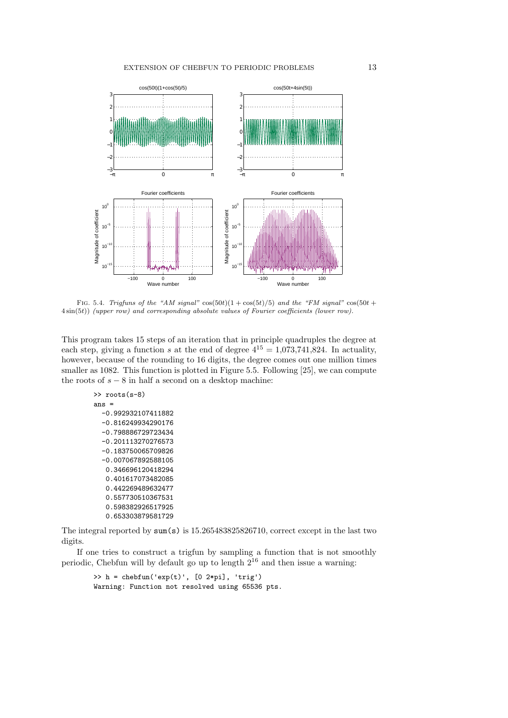

FIG. 5.4. Trigfuns of the "AM signal"  $cos(50t)(1 + cos(5t)/5)$  and the "FM signal"  $cos(50t +$ 4 sin(5t)) (upper row) and corresponding absolute values of Fourier coefficients (lower row).

This program takes 15 steps of an iteration that in principle quadruples the degree at each step, giving a function s at the end of degree  $4^{15} = 1,073,741,824$ . In actuality, however, because of the rounding to 16 digits, the degree comes out one million times smaller as 1082. This function is plotted in Figure 5.5. Following [25], we can compute the roots of  $s - 8$  in half a second on a desktop machine:

```
>> roots(s-8)
ans =
  -0.992932107411882
  -0.816249934290176
  -0.798886729723434
  -0.201113270276573
  -0.183750065709826
  -0.007067892588105
   0.346696120418294
   0.401617073482085
   0.442269489632477
   0.557730510367531
   0.598382926517925
   0.653303879581729
```
The integral reported by sum(s) is 15.265483825826710, correct except in the last two digits.

If one tries to construct a trigfun by sampling a function that is not smoothly periodic, Chebfun will by default go up to length  $2^{16}$  and then issue a warning:

```
\Rightarrow h = chebfun('exp(t)', [0 2*pi], 'trig')
Warning: Function not resolved using 65536 pts.
```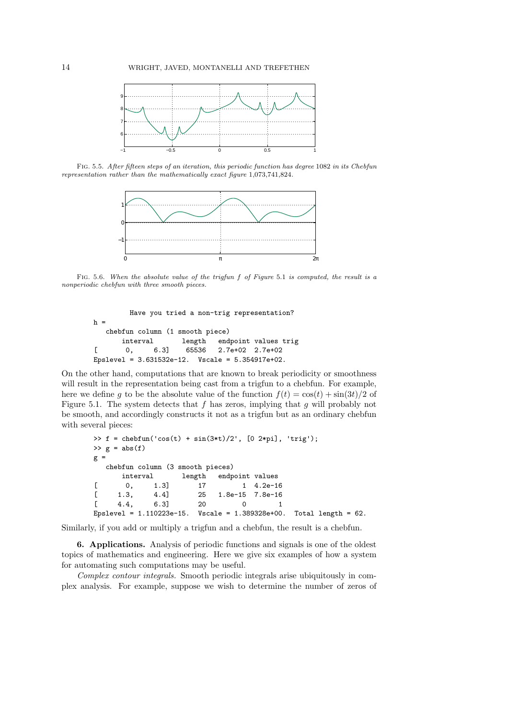

Fig. 5.5. After fifteen steps of an iteration, this periodic function has degree 1082 in its Chebfun representation rather than the mathematically exact figure 1,073,741,824.



Fig. 5.6. When the absolute value of the trigfun f of Figure 5.1 is computed, the result is a nonperiodic chebfun with three smooth pieces.

```
Have you tried a non-trig representation?
h =chebfun column (1 smooth piece)
      interval length endpoint values trig
[ 0, 6.3] 65536 2.7e+02 2.7e+02
Epslevel = 3.631532e-12. Vscale = 5.354917e+02.
```
On the other hand, computations that are known to break periodicity or smoothness will result in the representation being cast from a trigfun to a chebfun. For example, here we define g to be the absolute value of the function  $f(t) = \cos(t) + \sin(3t)/2$  of Figure 5.1. The system detects that f has zeros, implying that g will probably not be smooth, and accordingly constructs it not as a trigfun but as an ordinary chebfun with several pieces:

```
>> f = chebfun('cos(t) + sin(3*t)/2', [0 2*pi], 'trig');
\gg g = abs(f)
g =chebfun column (3 smooth pieces)
     interval length endpoint values
[ 0, 1.3] 17 1 4.2e-16
[ 1.3, 4.4] 25 1.8e-15 7.8e-16
[ 4.4, 6.3] 20 0 1
Epslevel = 1.110223e-15. Vscale = 1.389328e+00. Total length = 62.
```
Similarly, if you add or multiply a trigfun and a chebfun, the result is a chebfun.

6. Applications. Analysis of periodic functions and signals is one of the oldest topics of mathematics and engineering. Here we give six examples of how a system for automating such computations may be useful.

Complex contour integrals. Smooth periodic integrals arise ubiquitously in complex analysis. For example, suppose we wish to determine the number of zeros of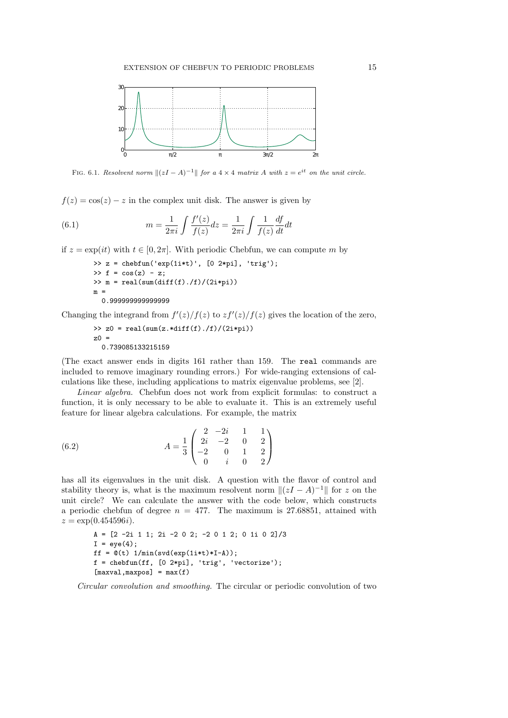

FIG. 6.1. Resolvent norm  $||(zI - A)^{-1}||$  for a 4 × 4 matrix A with  $z = e^{it}$  on the unit circle.

 $f(z) = \cos(z) - z$  in the complex unit disk. The answer is given by

(6.1) 
$$
m = \frac{1}{2\pi i} \int \frac{f'(z)}{f(z)} dz = \frac{1}{2\pi i} \int \frac{1}{f(z)} \frac{df}{dt} dt
$$

if  $z = \exp(it)$  with  $t \in [0, 2\pi]$ . With periodic Chebfun, we can compute m by

```
\Rightarrow z = chebfun('exp(1i*t)', [0 2*pi], 'trig');
\Rightarrow f = cos(z) - z;
\gg m = real(sum(diff(f)./f)/(2i*pi))
\, m \,0.999999999999999
```
Changing the integrand from  $f'(z)/f(z)$  to  $zf'(z)/f(z)$  gives the location of the zero,

```
\gg z0 = real(sum(z.*diff(f)./f)/(2i*pi))
z0 =0.739085133215159
```
(The exact answer ends in digits 161 rather than 159. The real commands are included to remove imaginary rounding errors.) For wide-ranging extensions of calculations like these, including applications to matrix eigenvalue problems, see [2].

Linear algebra. Chebfun does not work from explicit formulas: to construct a function, it is only necessary to be able to evaluate it. This is an extremely useful feature for linear algebra calculations. For example, the matrix

(6.2) 
$$
A = \frac{1}{3} \begin{pmatrix} 2 & -2i & 1 & 1 \\ 2i & -2 & 0 & 2 \\ -2 & 0 & 1 & 2 \\ 0 & i & 0 & 2 \end{pmatrix}
$$

has all its eigenvalues in the unit disk. A question with the flavor of control and stability theory is, what is the maximum resolvent norm  $||(zI - A)^{-1}||$  for z on the unit circle? We can calculate the answer with the code below, which constructs a periodic chebfun of degree  $n = 477$ . The maximum is 27.68851, attained with  $z = \exp(0.454596i)$ .

```
A = [2 -2i 1 1; 2i -2 0 2; -2 0 1 2; 0 1i 0 2]/3
I = eye(4);ff = \mathbb{O}(t) 1/min(svd(exp(1i*t)*I-A));
f = \text{chebfun}(ff, [0 2*pi], 'trig', 'vectorize');[maxval,maxpos] = max(f)
```
Circular convolution and smoothing. The circular or periodic convolution of two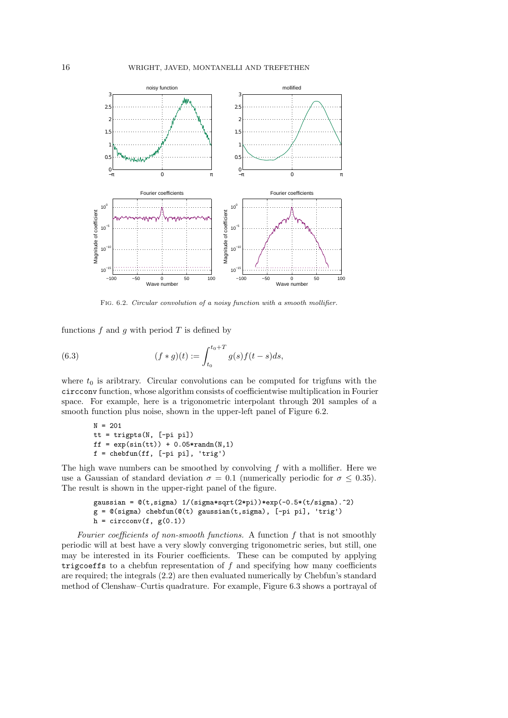

Fig. 6.2. Circular convolution of a noisy function with a smooth mollifier.

functions  $f$  and  $g$  with period  $T$  is defined by

(6.3) 
$$
(f * g)(t) := \int_{t_0}^{t_0 + T} g(s) f(t - s) ds,
$$

where  $t_0$  is aribtrary. Circular convolutions can be computed for trigfuns with the circconv function, whose algorithm consists of coefficientwise multiplication in Fourier space. For example, here is a trigonometric interpolant through 201 samples of a smooth function plus noise, shown in the upper-left panel of Figure 6.2.

```
N = 201tt = trigpts(N, [-pi pi])
ff = exp(sin(tt)) + 0.05*randn(N,1)f = \text{chebfun}(ff, [-pi pi], 'trig')
```
The high wave numbers can be smoothed by convolving  $f$  with a mollifier. Here we use a Gaussian of standard deviation  $\sigma = 0.1$  (numerically periodic for  $\sigma \leq 0.35$ ). The result is shown in the upper-right panel of the figure.

```
gaussian = \mathcal{O}(t, \text{sigma}) 1/(sigma*sqrt(2*pi))*exp(-0.5*(t/sigma).^2)
g = \mathbb{Q}(\text{sigma}) chebfun(\mathbb{Q}(t) gaussian(t, sigma), [-pi] pi], 'trig')
h = circconv(f, g(0.1))
```
Fourier coefficients of non-smooth functions. A function  $f$  that is not smoothly periodic will at best have a very slowly converging trigonometric series, but still, one may be interested in its Fourier coefficients. These can be computed by applying trigcoeffs to a chebfun representation of  $f$  and specifying how many coefficients are required; the integrals (2.2) are then evaluated numerically by Chebfun's standard method of Clenshaw–Curtis quadrature. For example, Figure 6.3 shows a portrayal of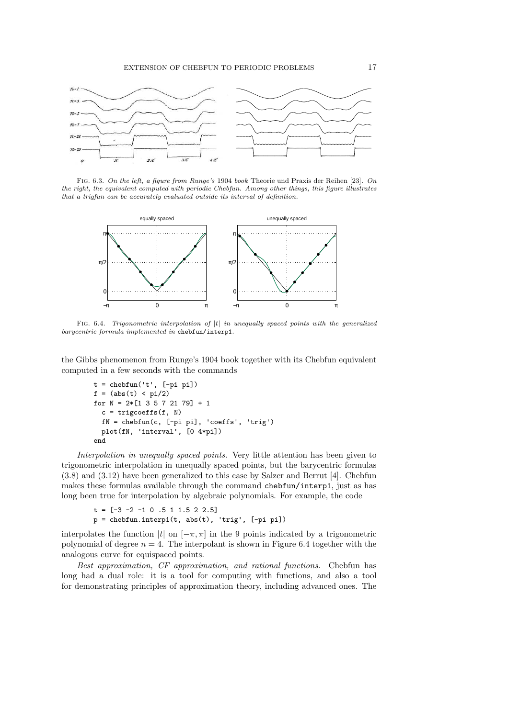

Fig. 6.3. On the left, a figure from Runge's 1904 book Theorie und Praxis der Reihen [23]. On the right, the equivalent computed with periodic Chebfun. Among other things, this figure illustrates that a trigfun can be accurately evaluated outside its interval of definition.



FIG.  $6.4$ . Trigonometric interpolation of  $|t|$  in unequally spaced points with the generalized barycentric formula implemented in chebfun/interp1.

the Gibbs phenomenon from Runge's 1904 book together with its Chebfun equivalent computed in a few seconds with the commands

```
t = \text{chebfun}('t', [-pi pi])f = (abs(t) < pi/2)for N = 2*[1 \ 3 \ 5 \ 7 \ 21 \ 79] + 1c = trigcoeffs(f, N)
  fN = chebfun(c, [-pi pi], 'coeffs', 'trig')
  plot(fN, 'interval', [0 4*pi])
end
```
Interpolation in unequally spaced points. Very little attention has been given to trigonometric interpolation in unequally spaced points, but the barycentric formulas (3.8) and (3.12) have been generalized to this case by Salzer and Berrut [4]. Chebfun makes these formulas available through the command chebfun/interp1, just as has long been true for interpolation by algebraic polynomials. For example, the code

```
t = [-3 -2 -1 0 .5 1 1.5 2 2.5]p = \text{chebfun.interp1}(t, \text{abs}(t), 'trig', [-pi pi])
```
interpolates the function |t| on  $[-\pi, \pi]$  in the 9 points indicated by a trigonometric polynomial of degree  $n = 4$ . The interpolant is shown in Figure 6.4 together with the analogous curve for equispaced points.

Best approximation, CF approximation, and rational functions. Chebfun has long had a dual role: it is a tool for computing with functions, and also a tool for demonstrating principles of approximation theory, including advanced ones. The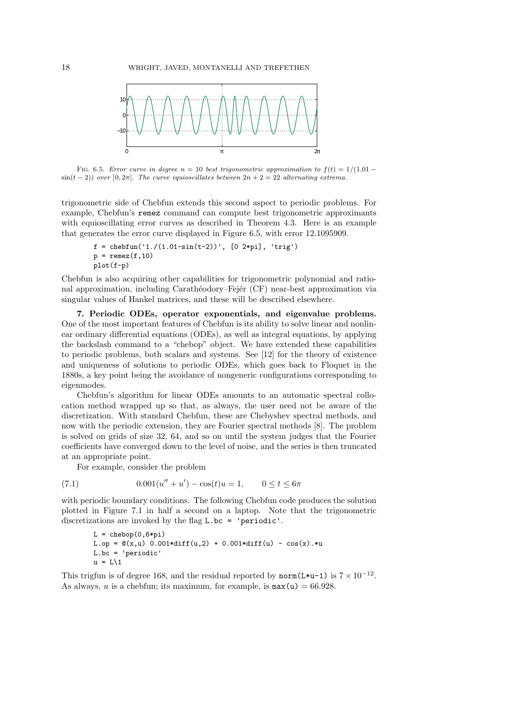

FIG. 6.5. Error curve in degree  $n = 10$  best trigonometric approximation to  $f(t) = 1/(1.01 \sin(t-2)$ ) over [0, 2π]. The curve equioscillates between  $2n+2=22$  alternating extrema.

trigonometric side of Chebfun extends this second aspect to periodic problems. For example, Chebfun's remez command can compute best trigonometric approximants with equioscillating error curves as described in Theorem 4.3. Here is an example that generates the error curve displayed in Figure 6.5, with error 12.1095909.

```
f = \text{chebfun}('1./(1.01-\sin(t-2))', [0 2*pi], 'trig')p = \text{remez}(f,10)plot(f-p)
```
Chebfun is also acquiring other capabilities for trigonometric polynomial and rational approximation, including Carathéodory–Fejér (CF) near-best approximation via singular values of Hankel matrices, and these will be described elsewhere.

7. Periodic ODEs, operator exponentials, and eigenvalue problems. One of the most important features of Chebfun is its ability to solve linear and nonlinear ordinary differential equations (ODEs), as well as integral equations, by applying the backslash command to a "chebop" object. We have extended these capabilities to periodic problems, both scalars and systems. See [12] for the theory of existence and uniqueness of solutions to periodic ODEs, which goes back to Floquet in the 1880s, a key point being the avoidance of nongeneric configurations corresponding to eigenmodes.

Chebfun's algorithm for linear ODEs amounts to an automatic spectral collocation method wrapped up so that, as always, the user need not be aware of the discretization. With standard Chebfun, these are Chebyshev spectral methods, and now with the periodic extension, they are Fourier spectral methods [8]. The problem is solved on grids of size 32, 64, and so on until the system judges that the Fourier coefficients have converged down to the level of noise, and the series is then truncated at an appropriate point.

For example, consider the problem

(7.1) 
$$
0.001(u'' + u') - \cos(t)u = 1, \qquad 0 \le t \le 6\pi
$$

with periodic boundary conditions. The following Chebfun code produces the solution plotted in Figure 7.1 in half a second on a laptop. Note that the trigonometric discretizations are invoked by the flag L.bc = 'periodic'.

```
L = chebop(0.6 * pi)L.op = \mathbb{Q}(x,u) \cdot 0.001*diff(u,2) + 0.001*diff(u) - cos(x).*uL.bc = 'periodic'
u = L\1
```
This trigfun is of degree 168, and the residual reported by norm(L\*u-1) is  $7 \times 10^{-12}$ . As always, u is a chebfun; its maximum, for example, is  $max(u) = 66.928$ .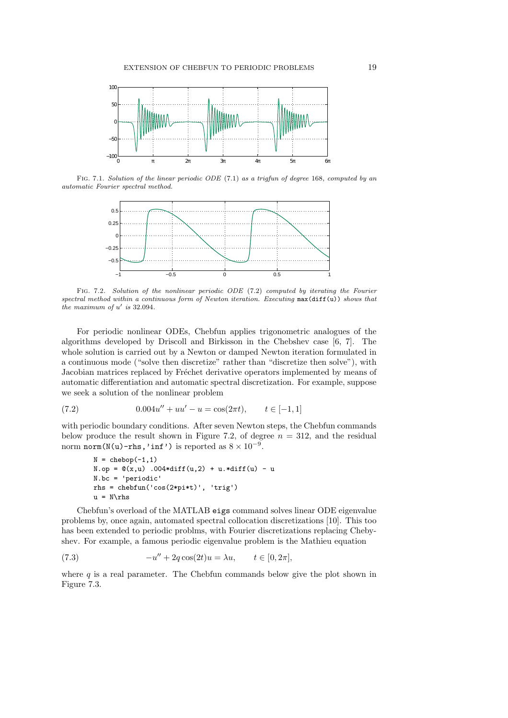

Fig. 7.1. Solution of the linear periodic ODE (7.1) as a trigfun of degree 168, computed by an automatic Fourier spectral method.



Fig. 7.2. Solution of the nonlinear periodic ODE (7.2) computed by iterating the Fourier spectral method within a continuous form of Newton iteration. Executing max(diff(u)) shows that the maximum of  $u'$  is 32.094.

For periodic nonlinear ODEs, Chebfun applies trigonometric analogues of the algorithms developed by Driscoll and Birkisson in the Chebshev case [6, 7]. The whole solution is carried out by a Newton or damped Newton iteration formulated in a continuous mode ("solve then discretize" rather than "discretize then solve"), with Jacobian matrices replaced by Fréchet derivative operators implemented by means of automatic differentiation and automatic spectral discretization. For example, suppose we seek a solution of the nonlinear problem

(7.2) 
$$
0.004u'' + uu' - u = \cos(2\pi t), \qquad t \in [-1, 1]
$$

with periodic boundary conditions. After seven Newton steps, the Chebfun commands below produce the result shown in Figure 7.2, of degree  $n = 312$ , and the residual norm  $\texttt{norm}(N(u)-\texttt{rhs}, \texttt{'inf'})$  is reported as  $8\times 10^{-9}.$ 

```
N = \text{chebop}(-1,1)N.op = \mathcal{O}(x, u) .004*diff(u,2) + u.*diff(u) - u
N.bc = 'periodic'
rhs = chebfun('cos(2*pi*t)', 'trig')
u = N\trian
```
Chebfun's overload of the MATLAB eigs command solves linear ODE eigenvalue problems by, once again, automated spectral collocation discretizations [10]. This too has been extended to periodic problms, with Fourier discretizations replacing Chebyshev. For example, a famous periodic eigenvalue problem is the Mathieu equation

(7.3) 
$$
-u'' + 2q \cos(2t)u = \lambda u, \qquad t \in [0, 2\pi],
$$

where  $q$  is a real parameter. The Chebfun commands below give the plot shown in Figure 7.3.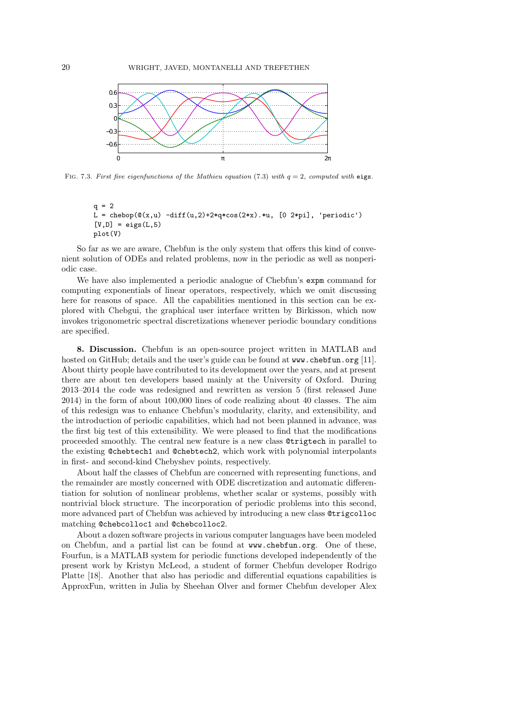

FIG. 7.3. First five eigenfunctions of the Mathieu equation (7.3) with  $q = 2$ , computed with eigs.

```
q = 2L = chebop(\mathcal{Q}(x, u) -diff(u,2)+2*q*cos(2*x).*u, [0 2*pi], 'periodic')
[V,D] = eigS(L,5)plot(V)
```
So far as we are aware, Chebfun is the only system that offers this kind of convenient solution of ODEs and related problems, now in the periodic as well as nonperiodic case.

We have also implemented a periodic analogue of Chebfun's expm command for computing exponentials of linear operators, respectively, which we omit discussing here for reasons of space. All the capabilities mentioned in this section can be explored with Chebgui, the graphical user interface written by Birkisson, which now invokes trigonometric spectral discretizations whenever periodic boundary conditions are specified.

8. Discussion. Chebfun is an open-source project written in MATLAB and hosted on GitHub; details and the user's guide can be found at www.chebfun.org [11]. About thirty people have contributed to its development over the years, and at present there are about ten developers based mainly at the University of Oxford. During 2013–2014 the code was redesigned and rewritten as version 5 (first released June 2014) in the form of about 100,000 lines of code realizing about 40 classes. The aim of this redesign was to enhance Chebfun's modularity, clarity, and extensibility, and the introduction of periodic capabilities, which had not been planned in advance, was the first big test of this extensibility. We were pleased to find that the modifications proceeded smoothly. The central new feature is a new class @trigtech in parallel to the existing @chebtech1 and @chebtech2, which work with polynomial interpolants in first- and second-kind Chebyshev points, respectively.

About half the classes of Chebfun are concerned with representing functions, and the remainder are mostly concerned with ODE discretization and automatic differentiation for solution of nonlinear problems, whether scalar or systems, possibly with nontrivial block structure. The incorporation of periodic problems into this second, more advanced part of Chebfun was achieved by introducing a new class @trigcolloc matching @chebcolloc1 and @chebcolloc2.

About a dozen software projects in various computer languages have been modeled on Chebfun, and a partial list can be found at www.chebfun.org. One of these, Fourfun, is a MATLAB system for periodic functions developed independently of the present work by Kristyn McLeod, a student of former Chebfun developer Rodrigo Platte [18]. Another that also has periodic and differential equations capabilities is ApproxFun, written in Julia by Sheehan Olver and former Chebfun developer Alex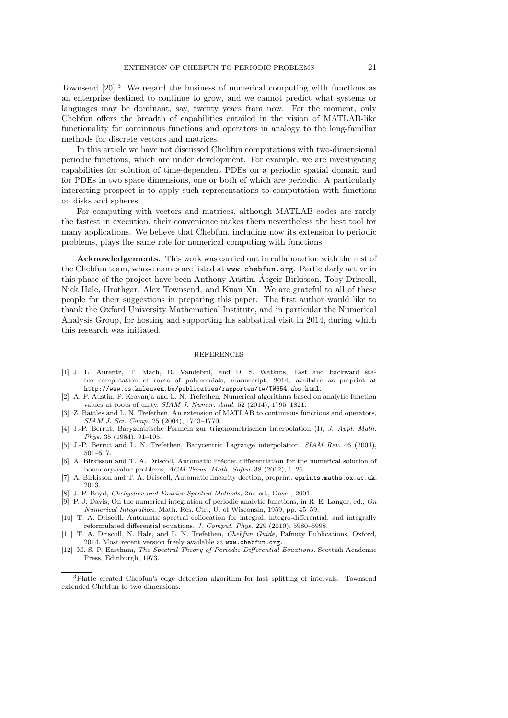Townsend [20].<sup>3</sup> We regard the business of numerical computing with functions as an enterprise destined to continue to grow, and we cannot predict what systems or languages may be dominant, say, twenty years from now. For the moment, only Chebfun offers the breadth of capabilities entailed in the vision of MATLAB-like functionality for continuous functions and operators in analogy to the long-familiar methods for discrete vectors and matrices.

In this article we have not discussed Chebfun computations with two-dimensional periodic functions, which are under development. For example, we are investigating capabilities for solution of time-dependent PDEs on a periodic spatial domain and for PDEs in two space dimensions, one or both of which are periodic. A particularly interesting prospect is to apply such representations to computation with functions on disks and spheres.

For computing with vectors and matrices, although MATLAB codes are rarely the fastest in execution, their convenience makes them nevertheless the best tool for many applications. We believe that Chebfun, including now its extension to periodic problems, plays the same role for numerical computing with functions.

Acknowledgements. This work was carried out in collaboration with the rest of the Chebfun team, whose names are listed at www.chebfun.org. Particularly active in this phase of the project have been Anthony Austin, Asgeir Birkisson, Toby Driscoll, ´ Nick Hale, Hrothgar, Alex Townsend, and Kuan Xu. We are grateful to all of these people for their suggestions in preparing this paper. The first author would like to thank the Oxford University Mathematical Institute, and in particular the Numerical Analysis Group, for hosting and supporting his sabbatical visit in 2014, during which this research was initiated.

## **REFERENCES**

- [1] J. L. Aurentz, T. Mach, R. Vandebril, and D. S. Watkins, Fast and backward stable computation of roots of polynomials, manuscript, 2014, available as preprint at http://www.cs.kuleuven.be/publicaties/rapporten/tw/TW654.abs.html.
- [2] A. P. Austin, P. Kravanja and L. N. Trefethen, Numerical algorithms based on analytic function values at roots of unity, SIAM J. Numer. Anal. 52 (2014), 1795–1821.
- [3] Z. Battles and L. N. Trefethen, An extension of MATLAB to continuous functions and operators, SIAM J. Sci. Comp. 25 (2004), 1743–1770.
- [4] J.-P. Berrut, Baryzentrische Formeln zur trigonometrischen Interpolation (I), J. Appl. Math. Phys. 35 (1984), 91–105.
- [5] J.-P. Berrut and L. N. Trefethen, Barycentric Lagrange interpolation, SIAM Rev. 46 (2004), 501–517.
- [6] A. Birkisson and T. A. Driscoll, Automatic Fréchet differentiation for the numerical solution of boundary-value problems, ACM Trans. Math. Softw. 38 (2012), 1–26.
- [7] A. Birkisson and T. A. Driscoll, Automatic linearity dection, preprint, eprints.maths.ox.ac.uk, 2013.
- [8] J. P. Boyd, Chebyshev and Fourier Spectral Methods, 2nd ed., Dover, 2001.
- [9] P. J. Davis, On the numerical integration of periodic analytic functions, in R. E. Langer, ed., On Numerical Integration, Math. Res. Ctr., U. of Wisconsin, 1959, pp. 45–59.
- [10] T. A. Driscoll, Automatic spectral collocation for integral, integro-differential, and integrally reformulated differential equations, J. Comput. Phys. 229 (2010), 5980–5998.
- [11] T. A. Driscoll, N. Hale, and L. N. Trefethen, *Chebfun Guide*, Pafnuty Publications, Oxford, 2014. Most recent version freely available at www.chebfun.org.
- [12] M. S. P. Eastham, The Spectral Theory of Periodic Differential Equations, Scottish Academic Press, Edinburgh, 1973.

<sup>3</sup>Platte created Chebfun's edge detection algorithm for fast splitting of intervals. Townsend extended Chebfun to two dimensions.